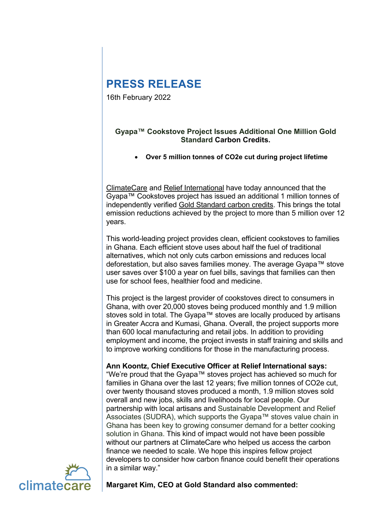# **PRESS RELEASE**

16th February 2022

## **Gyapa™ Cookstove Project Issues Additional One Million Gold Standard Carbon Credits.**

• **Over 5 million tonnes of CO2e cut during project lifetime**

[ClimateCare](https://www.climatecare.org/) and [Relief International](http://www.ri.org/) have today announced that the Gyapa™ Cookstoves project has issued an additional 1 million tonnes of independently verified [Gold Standard carbon credits.](https://www.climatecare.org/projects/carbon-credits/) This brings the total emission reductions achieved by the project to more than 5 million over 12 years.

This world-leading project provides clean, efficient cookstoves to families in Ghana. Each efficient stove uses about half the fuel of traditional alternatives, which not only cuts carbon emissions and reduces local deforestation, but also saves families money. The average Gyapa™ stove user saves over \$100 a year on fuel bills, savings that families can then use for school fees, healthier food and medicine.

This project is the largest provider of cookstoves direct to consumers in Ghana, with over 20,000 stoves being produced monthly and 1.9 million stoves sold in total. The Gyapa™ stoves are locally produced by artisans in Greater Accra and Kumasi, Ghana. Overall, the project supports more than 600 local manufacturing and retail jobs. In addition to providing employment and income, the project invests in staff training and skills and to improve working conditions for those in the manufacturing process.

**Ann Koontz, Chief Executive Officer at Relief International says:** 

"We're proud that the Gyapa™ stoves project has achieved so much for families in Ghana over the last 12 years; five million tonnes of CO2e cut, over twenty thousand stoves produced a month, 1.9 million stoves sold overall and new jobs, skills and livelihoods for local people. Our partnership with local artisans and Sustainable Development and Relief Associates (SUDRA), which supports the Gyapa™ stoves value chain in Ghana has been key to growing consumer demand for a better cooking solution in Ghana. This kind of impact would not have been possible without our partners at ClimateCare who helped us access the carbon finance we needed to scale. We hope this inspires fellow project developers to consider how carbon finance could benefit their operations in a similar way."



**Margaret Kim, CEO at Gold Standard also commented:**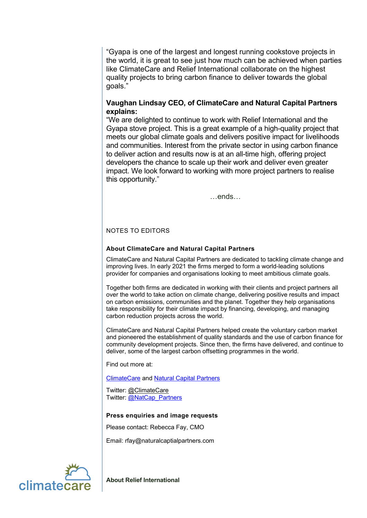"Gyapa is one of the largest and longest running cookstove projects in the world, it is great to see just how much can be achieved when parties like ClimateCare and Relief International collaborate on the highest quality projects to bring carbon finance to deliver towards the global goals."

## **Vaughan Lindsay CEO, of ClimateCare and Natural Capital Partners explains:**

"We are delighted to continue to work with Relief International and the Gyapa stove project. This is a great example of a high-quality project that meets our global climate goals and delivers positive impact for livelihoods and communities. Interest from the private sector in using carbon finance to deliver action and results now is at an all-time high, offering project developers the chance to scale up their work and deliver even greater impact. We look forward to working with more project partners to realise this opportunity."

…ends…

### NOTES TO EDITORS

### **About ClimateCare and Natural Capital Partners**

ClimateCare and Natural Capital Partners are dedicated to tackling climate change and improving lives. In early 2021 the firms merged to form a world-leading solutions provider for companies and organisations looking to meet ambitious climate goals.

Together both firms are dedicated in working with their clients and project partners all over the world to take action on climate change, delivering positive results and impact on carbon emissions, communities and the planet. Together they help organisations take responsibility for their climate impact by financing, developing, and managing carbon reduction projects across the world.

ClimateCare and Natural Capital Partners helped create the voluntary carbon market and pioneered the establishment of quality standards and the use of carbon finance for community development projects. Since then, the firms have delivered, and continue to deliver, some of the largest carbon offsetting programmes in the world.

Find out more at:

[ClimateCare](http://www.climatecare.org/) and [Natural Capital Partners](https://www.naturalcapitalpartners.com/)

Twitter: [@ClimateCare](https://twitter.com/ClimateCare) Twitter: [@NatCap\\_Partners](https://twitter.com/NatCap_Partners)

#### **Press enquiries and image requests**

Please contact: Rebecca Fay, CMO

Email: rfay@naturalcaptialpartners.com



**About Relief International**